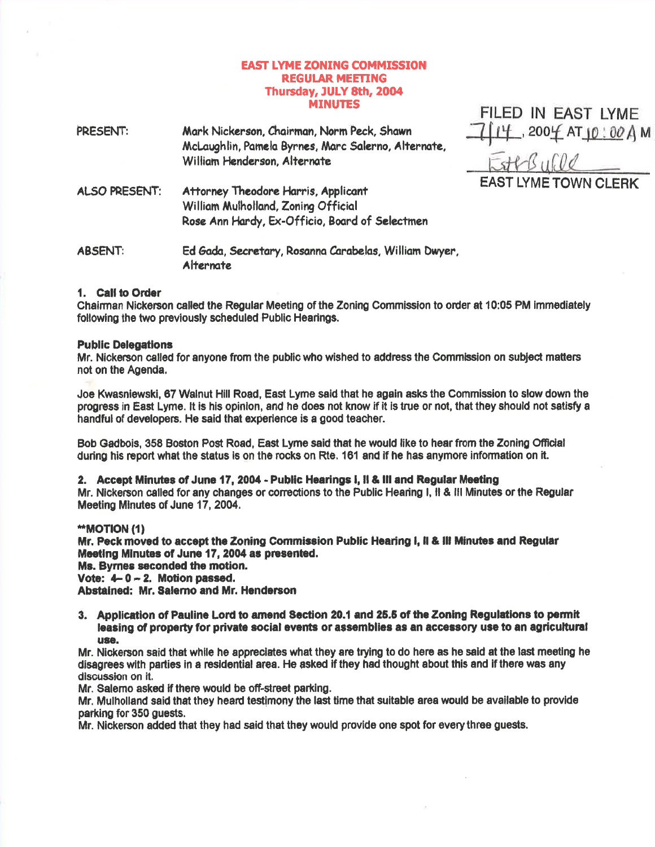## **EAST LYME ZONING COMMISSION REGULAR MEETING** Thursday, JULY 8th, 2004 **MINUTES**

FILED IN EAST LYME

| PRESENT:       | Mark Nickerson, Chairman, Norm Peck, Shawn<br>McLaughlin, Pamela Byrnes, Marc Salerno, Alternate,<br>William Henderson, Alternate | $14,2004$ AT $10:00$ Å M    |
|----------------|-----------------------------------------------------------------------------------------------------------------------------------|-----------------------------|
| ALSO PRESENT:  | Attorney Theodore Harris, Applicant<br>William Mulholland, Zoning Official<br>Rose Ann Hardy, Ex-Officio, Board of Selectmen      | <b>EAST LYME TOWN CLERK</b> |
| <b>ABSENT:</b> | Ed Gada, Secretary, Rosanna Carabelas, William Dwyer,<br>Alternate                                                                |                             |

## 1. Call to Order

Chairman Nickerson called the Regular Meeting of the Zoning Commission to order at 10:05 PM immediately following the two previously scheduled Public Hearings.

## **Public Delegations**

Mr. Nickerson called for anyone from the public who wished to address the Commission on subject matters not on the Agenda.

Joe Kwasniewski, 67 Walnut Hill Road, East Lyme said that he again asks the Commission to slow down the progress in East Lyme. It is his opinion, and he does not know if it is true or not, that they should not satisfy a handful of developers. He said that experience is a good teacher.

Bob Gadbois, 358 Boston Post Road, East Lyme said that he would like to hear from the Zoning Official during his report what the status is on the rocks on Rte. 161 and if he has anymore information on it.

## 2. Accept Minutes of June 17, 2004 - Public Hearings I, Il & III and Regular Meeting

Mr. Nickerson called for any changes or corrections to the Public Hearing I, II & III Minutes or the Regular Meeting Minutes of June 17, 2004.

### \*\*MOTION (1)

Mr. Peck moved to accept the Zoning Commission Public Hearing I, II & III Minutes and Regular Meeting Minutes of June 17, 2004 as presented.

Ms. Byrnes seconded the motion.

Vote:  $4-0-2$ . Motion passed.

Abstained: Mr. Salerno and Mr. Henderson

3. Application of Pauline Lord to amend Section 20.1 and 25.5 of the Zoning Regulations to permit leasing of property for private social events or assemblies as an accessory use to an agricultural use.

Mr. Nickerson said that while he appreciates what they are trying to do here as he said at the last meeting he disagrees with parties in a residential area. He asked if they had thought about this and if there was any discussion on it.

Mr. Salemo asked if there would be off-street parking.

Mr. Mulholland said that they heard testimony the last time that suitable area would be available to provide parking for 350 guests.

Mr. Nickerson added that they had said that they would provide one spot for every three guests.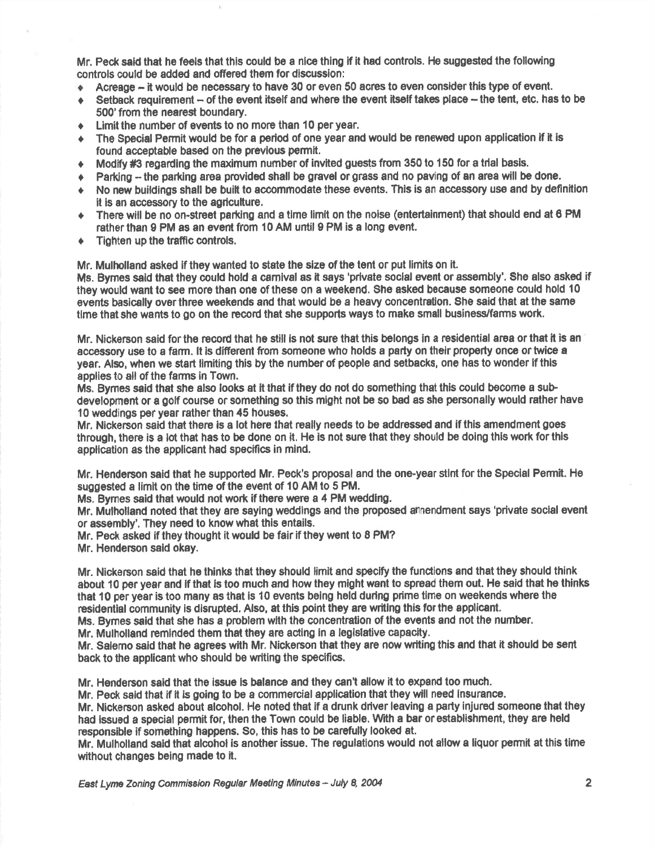Mr. Peck said that he feels that this could be a nlce thing if it had controls. He suggested the following controls could be added and offered them for discussion:

- $\triangle$  Acreage it would be necessary to have 30 or even 50 acres to even consider this type of event.
- $\bullet$  Setback requirement of the event itself and where the event itself takes place the tent, etc. has to be 500'from the neerest boundary.
- $\bullet$  Limit the number of events to no more than 10 per year.
- The Special Permit would be for a period of one year and would be renewed upon application if it is found acceptable based on the prevlous permit.
- $\blacklozenge$  Modify #3 regarding the maximum number of invited guests from 350 to 150 for a trial basis.
- Parking the parking area provided shall be gravel or grass and no paving of an area will be done.
- + No new buildings shall be built to accommodate these events. This is an accessory use and by definition it is an accessory to the agriculture.
- $\bullet$  There will be no on-street parking and a time limit on the noise (entertainment) that should end at 6 PM rather than 9 PM as an event from 10 AM until 9 PM is a long event.
- $\div$  Tighten up the traffic controls.

Mr. Mulholland asked if they wanted to state the size of the tent or put limits on it.

Ms. Bymes said that they could hold a carnival as it says 'private social event or assembly'. She also asked if they would want to see more than one of these on a weekend. She asked because someone could hold 10 events basically over three weekends and that would be a heavy concentration. She said that at the same time that she wants to go on the record that she supports ways to make small business/farms work.

Mr. Nickerson said for the record that he still is not sure that this belongs in a residential area or that it is an accessory use to a farm. It is different from someone who holds a party on their property once or twice a year. Also, when we start limiting this by the number of people and setbacks, one has to wonder if this applies to all of the farms in Town.

Ms. Bymes said that she also looks at it that if they do not do something that this could become a subdevelopment or a golf course or something so this might not be so bad as she personally would rather have 10 weddings per year rather than 45 houses.

Mr, Nickerson said that there is a lot here that really needs to be addressed and if thls amendment goes through, there is a lot that has to be done on it. He is not sure that they should be doing this work for this application as the applicant had specifics in mind.

Mr. Henderson said that he supported Mr. Peck's proposal and the one-year stint for the Special Permit. He suggested a limit on the time of the event of 10 AM to 5 PM.

Ms. Byrnes said that would not work if there were a 4 PM wedding.

Mr. Mulholland noted that they are saying weddings and the proposed amendment says 'private social event or assembly'. They need to know what thls entails.

Mr. Peck asked if they thought it would be fair if they went to 8 PM?

Mr. Henderson said okay.

Mr. Nickerson said that he thinks that they should limit and specify the functions and that they should think about 10 per year and if that is too much and how they might want to spread them out. He said that he thinks that 10 per year is too many as that is 10 events being held during prime time on weekends where the residential community is disrupted. Also, at this point they are writing this for the applicant.

Ms. Bymes said that she has a problem with the concentration of the events and not the number.

Mr. Mulholland reminded them that they are acting in a legislative capacity.

Mr. Salerno said that he agrees with Mr. Nickerson that they are now writing this and that it should be sent back to the applicant who should be writing the specifics.

Mr. Henderson said that the issue is balance and they can't allow it to expand too much.

Mr. Peok said that if it is going to be a commercial epplication that they will need insurance.

Mr. Nickerson asked about alcohol. He noted that if a drunk driver leaving a parly injured someone that they had lssued a special permit for, then the Town could be liable, With a bar or establishment, they are held responsible if something happens. So, this has to be carefully looked at.

Mr. Mulholland said that alcohol is another issue. The regulations would not allow a liquor permit at this time without changes being made to it.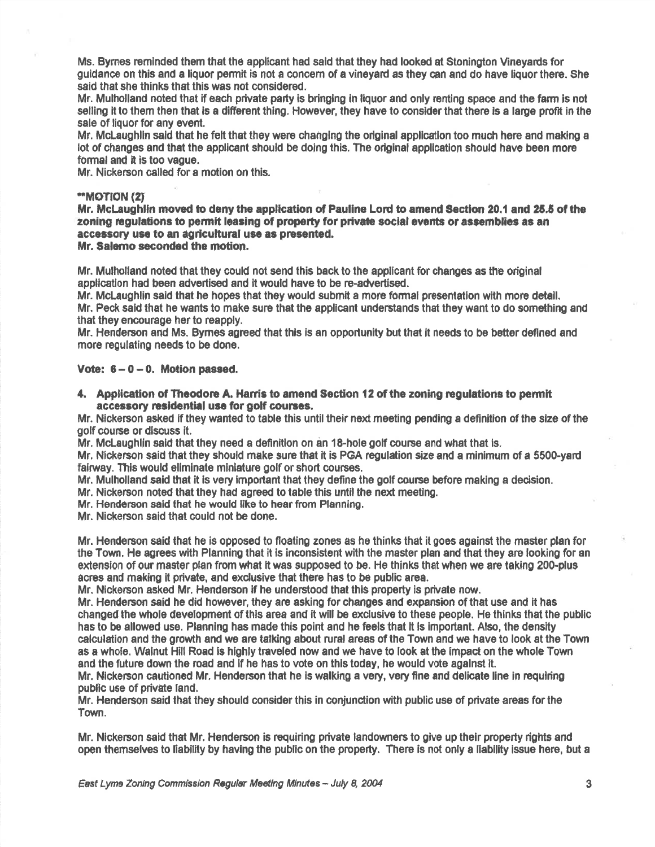Ms. Bymes reminded them that the applicant had said that they had looked at Stoningfon Mneyards for guidance on this and a liquor permlt is not a conoem of a vineyad as they can and do have liquor there. She said that she thinks that this was not considered.

Mr. Mulholland noted that if each private pafiy is bringlng in liquor and only renting space and the farm is not selling it to them then that is a different thing. However, they have to consider that there is a large profit in the sale of liquor for any event.

Mr. McLaughlin said that he felt that they were changing the original application too much here and making a lot of changes and thet the applicant should be doing this. The original application should have been more formal and it is too vague.

Mr. Nickerson called for a motion on this.

# \*MOT|ON (2I

Mr. McLaughlin moved to deny the application of Pauline Lord to amend Section 20.1 and 25.5 of the zoning regulations to permit leasing of property for private social events or assemblies as an accessory use to an agricultural use as presented.

Mr. Salemo seconded the motion.

Mr. Mulholland noted that they could not send this back to the applicant for changes as the original application had been advertised and it would have to be re-advertised.

Mr. McLaughlin said that he hopes that they would submit a more formal presentation with more detail.

Mr. Peck said that he wants to make sure that the applicant understands that they want to do something and that they encourage her to reapply.

Mr. Henderson and Ms. Byrnes agreed that this is an opportunity but that it needs to be better defined and more regulating needs to be done.

## Vote:  $6 - 0 - 0$ . Motion passed.

4. Application of Theodore A. Harris to amend Section 12 of the zoning regulations to permit accessory residential use for golf courses.

Mr. Nickerson asked lf they wanted to table this until their next meeting pending a definilion of the size of the golf course or discuss it.

Mr. McLaughlin said that they need a definitlon on an 18-hole gotf course and whet that ls.

Mr. Nickerson said that they should make sure that it is PGA regulation size and a minimum of a 5500-yard fairway. This would eliminate miniature golf or short courses.

Mr. Mulholland said that it is very important that they define the golf course before making a decision.

Mr. Nickerson noted that they had agreed to table this until the next meeting.

Mr. Henderson said that he would like to hear from Planning.

Mr. Nickerson said that oould not be done.

Mr. Henderson seid that he is opposed to floating zones as he thinks that it goes against the master plan for the Town, He agrees with Planning that it is inconsistent with the master plan and that they are looking for an extension of our master plan from what it was supposed to be. He thinks that when we are taking 200-plus acres and making it private, and exclusive that there has to be public area.

Mr. Nlckerson asked Mr. Henderson if he undestood thet this property is prtuate now.

Mr. Henderson said he did however, they are asking for changes and expansion of that use and it has changed the whole development of this erea and it will be exclusive to these people. He thinks that the publlc has to be allowed use. Planning has made this point and he feels that lt is lmportant. Also, the denslty calculation and the growth and we are talking about rurel areas of the Town and we have to loolr at the Town as a whole. Walnut Hill Road is highly traveled now and we have to look at the impact on the whole Town and the future down the road and if he has to vote on this today, he would vote against it.

Mr. Nickerson cautioned Mr. Henderson that he is walking a very, very fine and delicate line in requiring public use of private land.

Mr. Henderson said that they should consider this in conjunction with public use of private areas for the Town.

Mr. Nickerson said that Mr. Henderson is requiring private landowners to give up their property rights and open themselves to liability by having the public on the property. There is not only a liability issue here, but <sup>a</sup>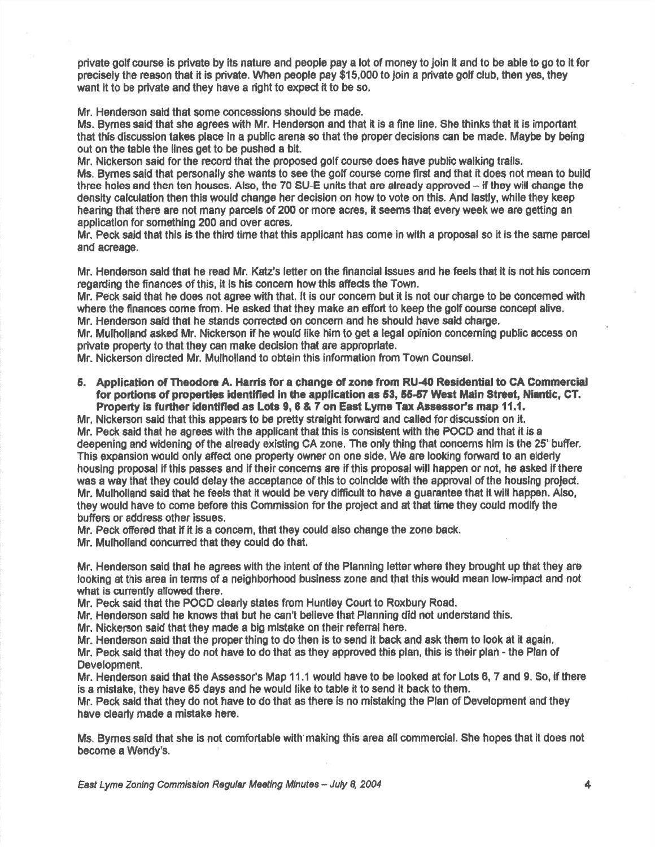private golf course is private by its nature and people pay a lot of money to join lt and to be able to go to it for precisely the reason that it is private. When people pay \$15,000 to join a private golf club, then yes, they want it to be private and they have a right to expect it to be so.

Mr. Henderson said that some concessions should be made.

Ms. Bymes said that she agrees with Mr. Henderson and that it is a fine line. She thinks that it is important that this discussion takes place in a public arene so that the proper decisions can be made. Maybe by boing out on the table the llnes get to be pushed a blt.

Mr. Nickerson said for the record that the proposed golf course does have public walking trails.

Ms. Bymes said that personally she wants to see the golf course come first and that it does not mean to build three holes and then ten houses. Also, the 70 SU-E units that are already approved  $-$  if they will change the density calculation then thie would change her declsion on how to vote on this. And lastly, while they keep hearing that there are not many parcels of 200 or more acres, it seems that every week we are getting an application for something 200 and over acres,

Mr. Peck said that this is the third time that this applicant has come in with a proposal so it is the same parcel and acreage.

Mr. Henderson said that he read Mr. Katz's letter on the financial issues and he feels that it is not his concem regarding the finances of this, it is his concern how this affects the Town,

Mr. Peck said that he does not agree with that, it is our concern but it is not our charge to be concerned with where the finances come from. He asked that they make an effort to keep the golf course concept alive. Mr. Henderson said that he stands corrected on concern and he should have said charge.

Mr. Mulholland asked Mr. Nickerson if he would like him to get a legal opinion concerning public access on private property to that they can make decision that are appropriate.

Mr. Nickerson directed Mr. Mulholland to obtain this information from Town Counsel.

5. Application of Theodore A. Harris for a change of zone from RU-40 Residential to CA Commercial for portions of properties identified in the application as 53, 55-57 West Main Street, Niantic, CT. Property is further identified as Lots 9, 6 & 7 on East Lyme Tax Assessor's map 11.1.

Mr. Nickerson said that this appears to be pretty straight forward and called for discussion on it. Mr. Peck said that he agrees with the applicant that this is consistent with the POCD and that it is a deepening and wldening of the already existing CA zone, The only thing that concems him is the 25' bufier, This expansion would only affect one property owner on one side. We are looking forward to an elderly housing proposal if this passes and if their concerns are if this proposal will happen or not, he asked if there was a way that they could delay the acceptence of thls to colncide with the appoval of the housing projec{. Mr. Mulholland said that he feels that it would be very difficult to have a guarantee that it will happen. Also, they would have to come before this Commission for the project and at that time they could modify the buffers or address other issues.

Mr. Peck ofiered that if it is a concern, that they could also ohange the zone back.

Mr. Mulholland ooncuned that they could do that.

Mr. Henderson said that he agrees with the intent of the Planning letter where they brought up that they are looking at this area in terms of a neighborhood business zone and that this would mean low-impact and not what is currently allowed there.

Mr. Peck ssid that the POCD cleady states from Huntley Court to Roxbury Road.

Mr. Henderson said he knows that but he can't believe that Planning did not understand this,

Mr. Nickerson said that they made a big mistake on their referral here.

Mr. Henderson said that the properthing to do then is to send it back and ask them to look at it again,

Mr. Peck said that they do not have to do that as they approved this plan, this is their plan - the Plan of Development,

Mr. Henderson said that the Assessor's Map 11.1 would have to be looked at for Lots 6, 7 and 9, So, if there is a mistake, they have 05 days and he would like to table it to send lt back to them.

Mr. Peck said that they do not have to do that as there is no mistaking the Plan of Development and they have cleady made a misteke here.

Ms. Bymes said that she is not comfortable with making this area all commercial. She hopes that it does not become e Wendy's.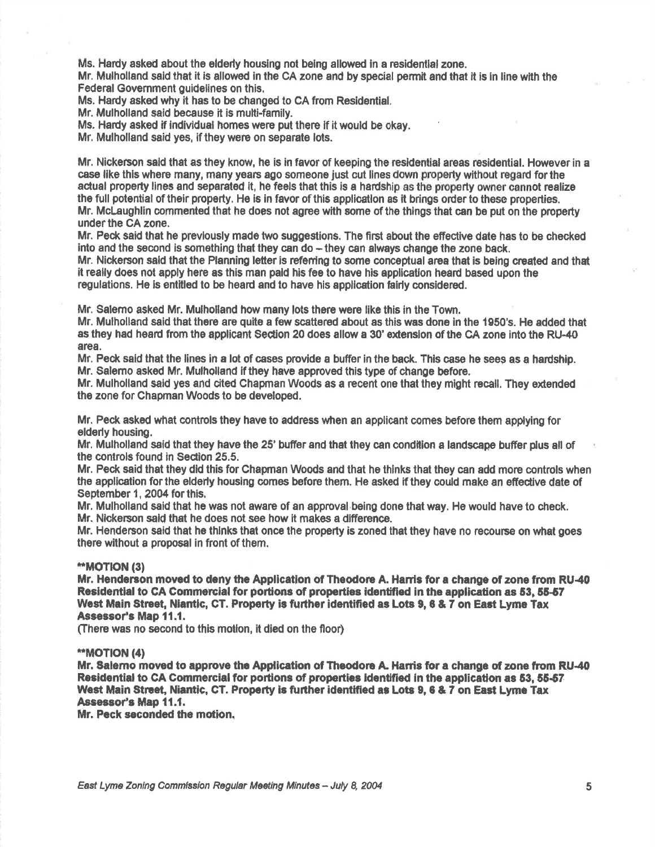Ms. Hardy asked about the elderly housing not being allowed in a residential zone.

Mr. Mulholland said that it is allowed in the CA zone and by special permit and that it is in line with the Federal Govemment guidelines on this.

Ms. Hardy asked why it has to be changed to CA from Residential.

Mr. Mulholland said because it is multi-family.

Ms. Hardy asked if individual homes were put there if it would be okay.

Mr. Mulholland said yes, if they were on separate lots.

Mr. Nickerson said that as they know, he is in favor of keeping the residential areas residential. However in a case like this where many, many years ago someone just cut lines down property without regard for the actual property lines and separated it, he feels that this is a hardship as the property owner cannot realize the full potential of their property. He is in favor of this application as it brings order to these properties. Mr. McLaughlin commented that he does not agree with some of the things that can be put on the property under the CA zone.

Mr. Peck said that he previously made two suggestions. The first about the effective date has to be checked into and the second is something that they can do  $-$  they can always change the zone back.

Mr. Nickerson said that the Planning letter is referring to some conceptual area that is being created and that it really does not apply fiore as this man pald his fee to have his applicatlon heard based upon the regulations. He is entitled to be heard and to have his application fairly considered.

Mr. Satemo asked Mr. Mulholland how many lots there were like this in the Town

Mr. Mulholland said that there are quile a few scattered about as this was done in the 1950's. He added that as they had heard from the applicant Section 20 does allow a 30' extension of the CA zone into the RU-40 areg.

Mr, Peck said that the lines in a lot of cases provide a buffer in the back. This case he sees as a hardship, Mr. Salemo asked Mr. Mulholland if they have approved this type of change before.

Mr. Mulholland said yes and cited Chapman Woods as <sup>a</sup>recent one that they might recall, They extended the zone for Chapman Woods to be developed.

Mr. Peck asked what controls they have to address when an applicant comes before them applying for elderly housing.

Mr. Mulholland said that they have the 25' buffer and that they can condition a landscape buffer plus all of the controls found in Sedion 25.5,

Mr. Peck said that they did this for Chapman Woods and that he thinks that they can add more controls when the application for the elderly housing comes before them. He asked if they could make an effective date of September 1, 2004 for this.

Mr. Mulholland said that he was not aware of an approval being done that way. He would have to check. Mr. Nlckerson sald that he does not see how it makes a difference.

Mr. Henderson said that he thinks that once the property is zoned that they have no recourse on what goes there without a proposal in front of them.

## \*\*MOT|ON (3)

Mr. Henderson moved to deny the Application of Theodore A. Harris for a change of zone from RU-40 Residential to CA Commercial for portions of properties identified in the application as 53, 55-57 West Main Street, Niantic, CT. Property is further identified as Lots 9, 6 & 7 on East Lyme Tax Assessor's Map 11.1.

(There was no second to this motion, it died on the floor)

## \*"MOT|ON (41

Mr. Salemo moved to approve the Application of Theodore A. Harris for a change of zone from RU-40 Residential to CA Commercial for portions of properties identified in the application as 53, 55-57 West Main Street, Niantic, CT. Property is further identified as Lots 9, 6 & 7 on East Lyme Tax Assessor's Map 11.1.

Mr. Peck seconded the motion.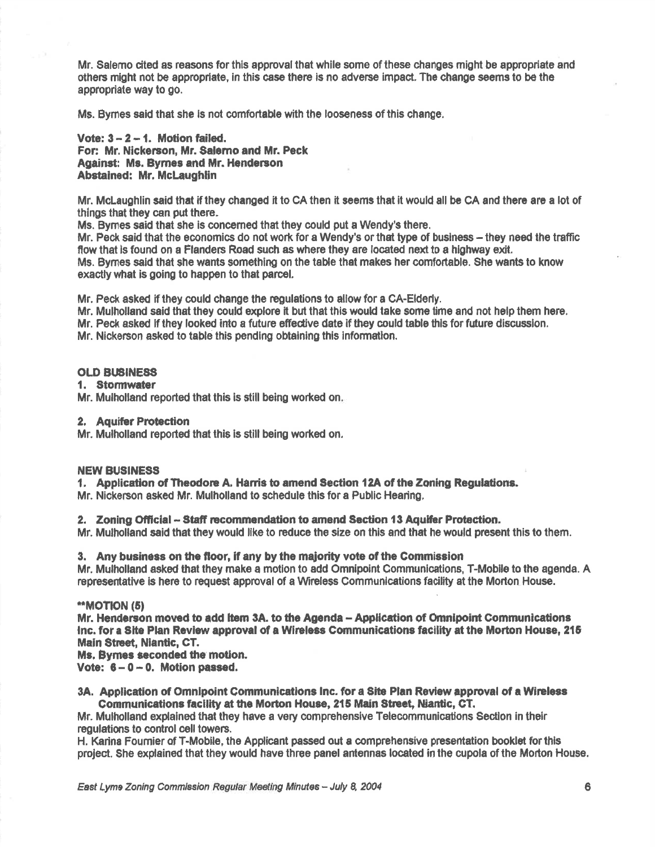Mr. Salemo cited as reasons for this approval that while some of these changes might be appropriate and others might not be appropriate, in this case there is no adverse impact. The change seems to be the appropriate way to go.

Ms. Byrnes said that she is not comfortable with the looseness of this change.

Vote:  $3 - 2 - 1$ . Motion failed. For: Mr. Nickerson, Mr. Salerno and Mr. Peck **Against: Ms. Byrnes and Mr. Henderson** Abstained: Mr. McLaughlin

Mr. McLaughlin said that if they changed it to CA then it seems that it would all be CA and there are a lot of things that they can put there.

Ms. Bymes said that she is concerned that they could put a Wendy's there.

Mr. Peck said that the economics do not work for a Wendy's or that type of business – they need the traffic flow that is found on a Flanders Road such as where they are located next to a highway exit. Ms. Byrnes said that she wants something on the table that makes her comfortable. She wants to know exactly what is going to happen to that parcel.

Mr. Peck asked if they could change the regulations to allow for a CA-Elderly.

Mr. Mulholland said that they could explore it but that this would take some time and not help them here. Mr. Peck asked if they looked into a future effective date if they could table this for future discussion.

Mr. Nickerson asked to table this pending obtaining this information.

### **OLD BUSINESS**

#### 1. Stormwater

Mr. Mulholland reported that this is still being worked on.

#### 2. Aquifer Protection

Mr. Mulholland reported that this is still being worked on.

#### **NEW BUSINESS**

1. Application of Theodore A. Harris to amend Section 12A of the Zoning Regulations.

Mr. Nickerson asked Mr. Mulholland to schedule this for a Public Hearing.

2. Zoning Official - Staff recommendation to amend Section 13 Aquifer Protection.

Mr. Mulholland said that they would like to reduce the size on this and that he would present this to them.

### 3. Any business on the floor, if any by the majority vote of the Commission

Mr. Mulholland asked that they make a motion to add Omnipoint Communications, T-Mobile to the agenda. A representative is here to request approval of a Wireless Communications facility at the Morton House.

### **"MOTION (5)**

Mr. Henderson moved to add item 3A, to the Agenda - Application of Omnipoint Communications Inc. for a Site Plan Review approval of a Wireless Communications facility at the Morton House, 215 **Main Street, Niantic, CT.** 

Ms. Bymes seconded the motion.

Vote:  $6 - 0 - 0$ . Motion passed.

3A. Application of Omnipoint Communications Inc. for a Site Plan Review approval of a Wireless Communications facility at the Morton House, 215 Main Street, Niantic, CT.

Mr. Mulholland explained that they have a very comprehensive Telecommunications Section in their regulations to control cell towers.

H. Karina Fournier of T-Mobile, the Applicant passed out a comprehensive presentation booklet for this project. She explained that they would have three panel antennas located in the cupola of the Morton House.